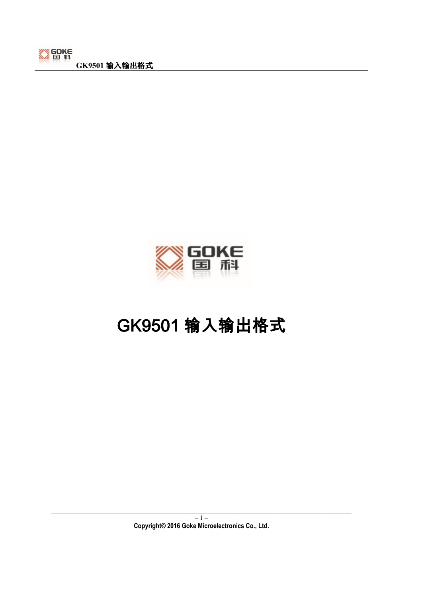



# GK9501 输入输出格式 GK9501 输入输出格式

\_\_\_\_\_\_\_\_\_\_\_\_\_\_\_\_\_\_\_\_\_\_\_\_\_\_\_\_\_\_\_\_\_\_\_\_\_\_\_\_\_\_\_\_\_\_\_\_\_\_\_\_\_\_\_\_\_\_\_\_\_\_\_\_\_\_\_\_\_\_\_\_\_\_\_\_\_\_\_\_\_\_\_\_\_\_\_\_\_\_\_\_\_\_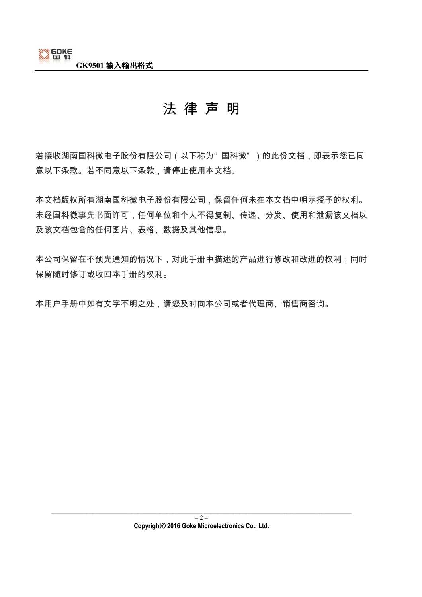

# 法 律 声 明

若接收湖南国科微电子股份有限公司 (以下称为"国科微")的此份文档,即表示您已同 意以下条款。若不同意以下条款,请停止使用本文档。

本文档版权所有湖南国科微电子股份有限公司,保留任何未在本文档中明示授予的权利。 未经国科微事先书面许可,任何单位和个人不得复制、传递、分发、使用和泄漏该文档以 及该文档包含的任何图片、表格、数据及其他信息。

本公司保留在不预先通知的情况下,对此手册中描述的产品进行修改和改进的权利;同时 保留随时修订或收回本手册的权利。

本用户手册中如有文字不明之处,请您及时向本公司或者代理商、销售商咨询。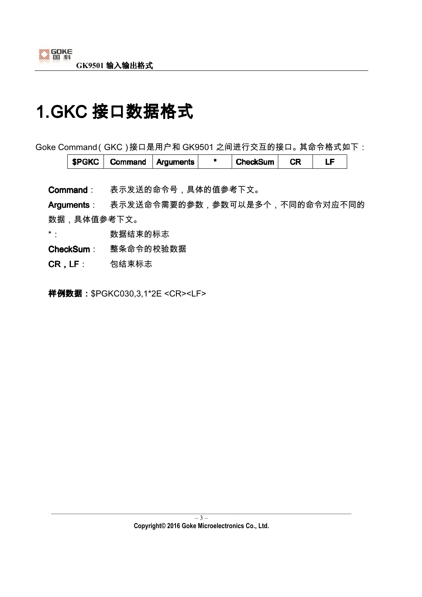# 1.GKC 接口数据格式

Goke Command(GKC)接口是用户和 GK9501 之间进行交互的接口。其命令格式如下:

| СR<br><b>SP</b><br><b>Arguments</b><br>ımand<br>sum<br>÷κ<br>.<br>and the state of |
|------------------------------------------------------------------------------------|
|------------------------------------------------------------------------------------|

Command: 表示发送的命令号,具体的值参考下文。

Arguments: 表示发送命令需要的参数,参数可以是多个,不同的命令对应不同的 数据,具体值参考下文。

\*: 数据结束的标志

CheckSum: 整条命令的校验数据

CR,LF: 包结束标志

样例数据: \$PGKC030,3,1\*2E <CR><LF>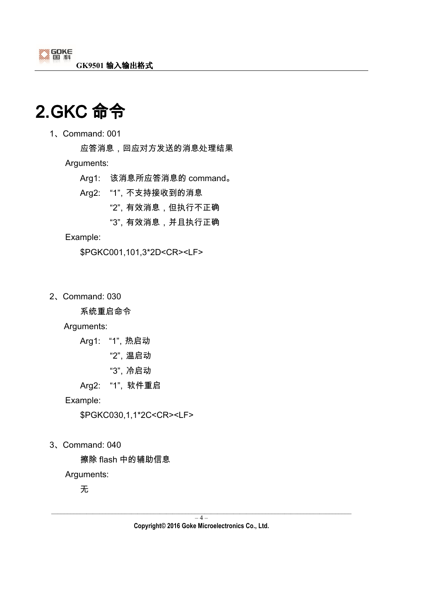

# 2.GKC 命令

1、Command: 001

 应答消息,回应对方发送的消息处理结果 Arguments:

- Arg1: 该消息所应答消息的 command。
- Arg2: "1",不支持接收到的消息

"2",有效消息,但执行不正确

"3",有效消息,并且执行正确

#### Example:

\$PGKC001,101,3\*2D<CR><LF>

2、Command: 030

系统重启命令

Arguments:

Arg1: "1",热启动

- "2",温启动
- "3",冷启动
- Arg2: "1", 软件重启

Example:

\$PGKC030,1,1\*2C<CR><LF>

3、Command: 040

擦除 flash 中的辅助信息

Arguments:

无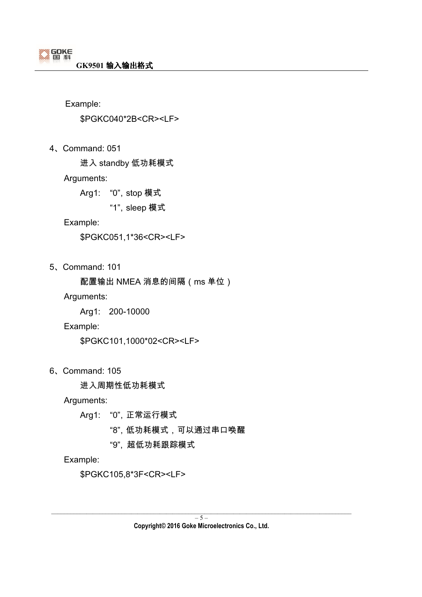\$PGKC040\*2B<CR><LF>

4、Command: 051

进入 standby 低功耗模式

Arguments:

Arg1: "0",stop 模式

"1",sleep 模式

#### Example:

\$PGKC051,1\*36<CR><LF>

5、Command: 101

配置输出 NMEA 消息的间隔(ms 单位)

Arguments:

Arg1: 200-10000

#### Example:

\$PGKC101,1000\*02<CR><LF>

6、Command: 105

进入周期性低功耗模式

Arguments:

- Arg1: "0",正常运行模式
	- "8",低功耗模式,可以通过串口唤醒
	- "9", 超低功耗跟踪模式

Example:

\$PGKC105,8\*3F<CR><LF>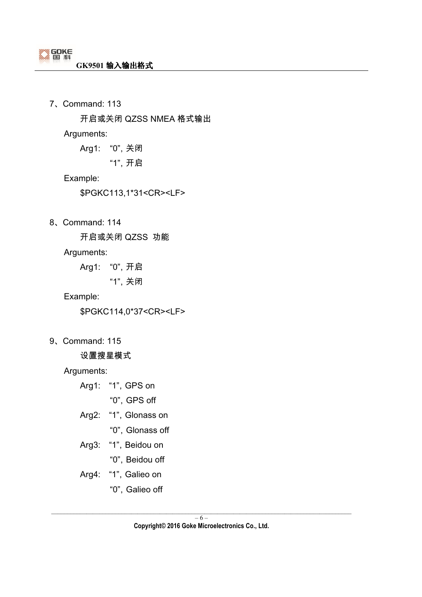7、Command: 113

开启或关闭 QZSS NMEA 格式输出

Arguments:

Arg1: "0",关闭

"1",开启

Example:

\$PGKC113,1\*31<CR><LF>

8、Command: 114

开启或关闭 QZSS 功能

Arguments:

Arg1: "0",开启

"1",关闭

Example:

\$PGKC114,0\*37<CR><LF>

9、Command: 115

设置搜星模式

Arguments:

Arg1: "1", GPS on

"0",GPS off

- Arg2: "1", Glonass on
	- "0", Glonass off
- Arg3: "1", Beidou on
	- "0", Beidou off
- Arg4: "1", Galieo on
	- "0", Galieo off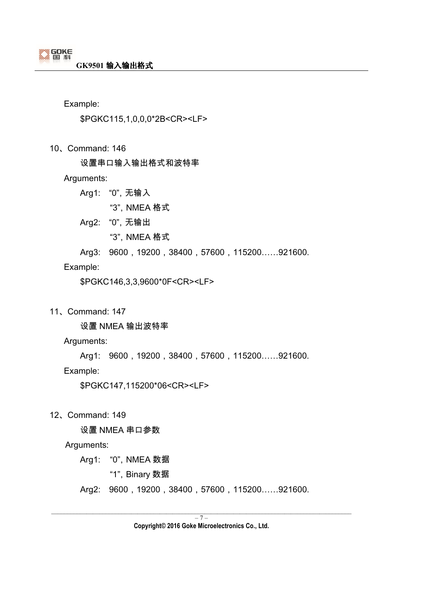\$PGKC115,1,0,0,0\*2B<CR><LF>

10、Command: 146

设置串口输入输出格式和波特率

Arguments:

Arg1: "0",无输入

"3",NMEA 格式

Arg2: "0",无输出

"3",NMEA 格式

Arg3: 9600, 19200, 38400, 57600, 115200......921600.

Example:

\$PGKC146,3,3,9600\*0F<CR><LF>

11、Command: 147

设置 NMEA 输出波特率

Arguments:

Arg1: 9600, 19200, 38400, 57600, 115200......921600.

Example:

\$PGKC147,115200\*06<CR><LF>

12、Command: 149

设置 NMEA 串口参数

Arguments:

Arg1: "0", NMEA 数据

"1", Binary 数据

Arg2: 9600, 19200, 38400, 57600, 115200......921600.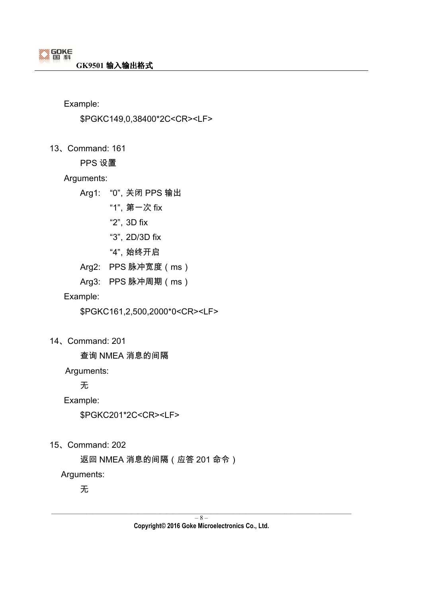\$PGKC149,0,38400\*2C<CR><LF>

13、Command: 161

PPS 设置

#### Arguments:

Arg1: "0",关闭 PPS 输出

"1",第一次 fix

"2",3D fix

"3",2D/3D fix

"4", 始终开启

Arg2: PPS 脉冲宽度(ms)

Arg3: PPS 脉冲周期(ms)

Example:

\$PGKC161,2,500,2000\*0<CR><LF>

14、Command: 201

查询 NMEA 消息的间隔

Arguments:

无

Example:

\$PGKC201\*2C<CR><LF>

15、Command: 202

返回 NMEA 消息的间隔(应答 201 命令)

Arguments:

无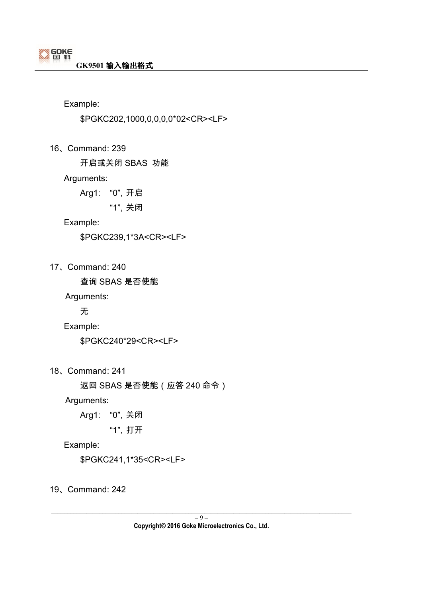\$PGKC202,1000,0,0,0,0\*02<CR><LF>

16、Command: 239

开启或关闭 SBAS 功能

#### Arguments:

Arg1: "0",开启

"1",关闭

#### Example:

\$PGKC239,1\*3A<CR><LF>

17、Command: 240

查询 SBAS 是否使能

Arguments:

无

Example:

\$PGKC240\*29<CR><LF>

18、Command: 241

返回 SBAS 是否使能(应答 240 命令)

Arguments:

Arg1: "0",关闭

"1",打开

Example:

\$PGKC241,1\*35<CR><LF>

19、Command: 242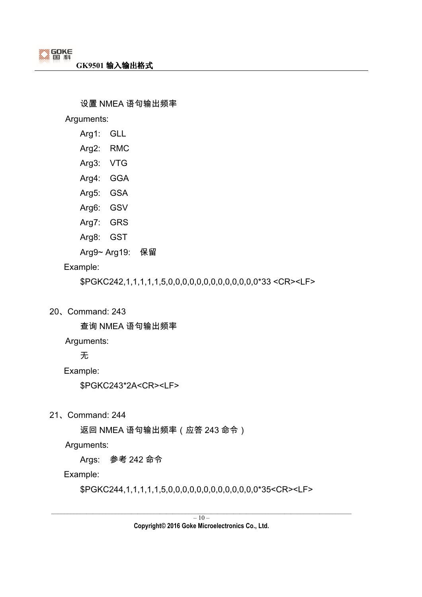#### 设置 NMEA 语句输出频率

Arguments:

- Arg1: GLL
- Arg2: RMC
- Arg3: VTG
- Arg4: GGA
- Arg5: GSA
- Arg6: GSV
- Arg7: GRS
- Arg8: GST
- Arg9~ Arg19: 保留

#### Example:

\$PGKC242,1,1,1,1,1,5,0,0,0,0,0,0,0,0,0,0,0,0,0\*33 <CR><LF>

20、Command: 243

查询 NMEA 语句输出频率

Arguments:

无

Example:

\$PGKC243\*2A<CR><LF>

21、Command: 244

返回 NMEA 语句输出频率(应答 243 命令)

Arguments:

Args: 参考 242 命令

Example:

\$PGKC244,1,1,1,1,1,5,0,0,0,0,0,0,0,0,0,0,0,0,0\*35<CR><LF>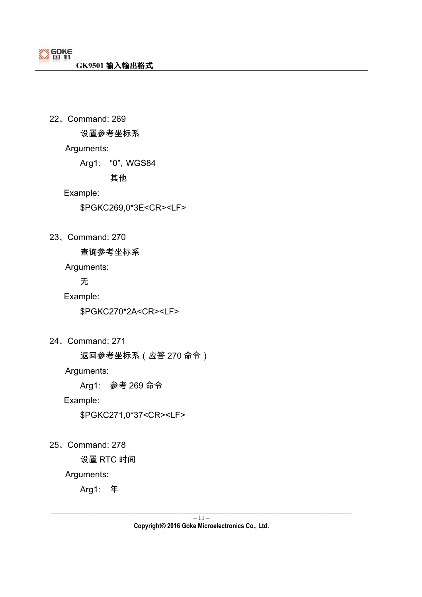22、Command: 269 设置参考坐标系

Arguments:

Arg1: "0",WGS84

其他

Example:

\$PGKC269,0\*3E<CR><LF>

23、Command: 270

查询参考坐标系

Arguments:

无

Example:

\$PGKC270\*2A<CR><LF>

24、Command: 271

返回参考坐标系(应答 270 命令)

Arguments:

Arg1: 参考 269 命令

Example:

\$PGKC271,0\*37<CR><LF>

25、Command: 278

设置 RTC 时间

Arguments:

Arg1: 年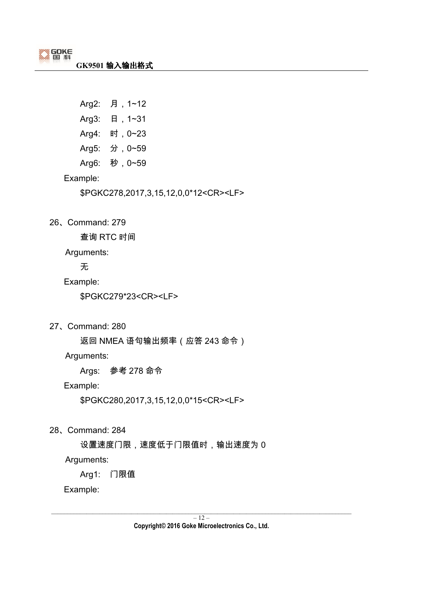Arg2: 月,1~12 Arg3: 日,1~31 Arg4: 时,0~23 Arg5: 分,0~59 Arg6: 秒,0~59

Example:

\$PGKC278,2017,3,15,12,0,0\*12<CR><LF>

26、Command: 279

查询 RTC 时间

Arguments:

无

Example:

\$PGKC279\*23<CR><LF>

27、Command: 280

返回 NMEA 语句输出频率(应答 243 命令)

Arguments:

Args: 参考 278 命令

Example:

\$PGKC280,2017,3,15,12,0,0\*15<CR><LF>

28、Command: 284

设置速度门限,速度低于门限值时,输出速度为 0

Arguments:

Arg1: 门限值

Example: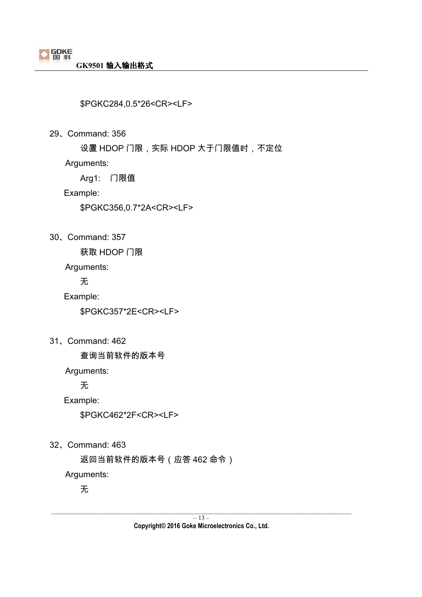\$PGKC284,0.5\*26<CR><LF>

29、Command: 356

设置 HDOP 门限,实际 HDOP 大于门限值时,不定位

Arguments:

Arg1: 门限值

Example:

\$PGKC356,0.7\*2A<CR><LF>

30、Command: 357

获取 HDOP 门限

Arguments:

无

Example:

\$PGKC357\*2E<CR><LF>

31、Command: 462

查询当前软件的版本号

Arguments:

无

Example:

\$PGKC462\*2F<CR><LF>

32、Command: 463

返回当前软件的版本号(应答 462 命令)

Arguments:

无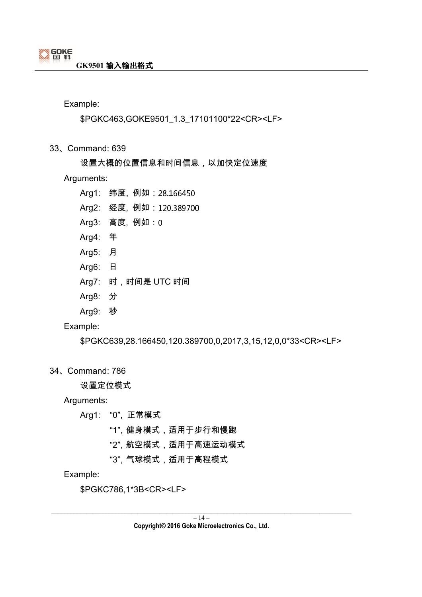#### \$PGKC463,GOKE9501\_1.3\_17101100\*22<CR><LF>

- 33、Command: 639
	- 设置大概的位置信息和时间信息,以加快定位速度

#### Arguments:

- Arg1: 纬度, 例如:28.166450
- Arg2: 经度, 例如 : 120.389700
- Arg3: 高度, 例如:
- Arg4: 年
- Arg5: 月
- Arg6: 日
- Arg7: 时,时间是 UTC 时间
- Arg8: 分
- Arg9: 秒

#### Example:

\$PGKC639,28.166450,120.389700,0,2017,3,15,12,0,0\*33<CR><LF>

#### 34、Command: 786

设置定位模式

Arguments:

- Arg1: "0", 正常模式
	- "1",健身模式,适用于步行和慢跑
	- "2",航空模式,适用于高速运动模式

"3",气球模式,适用于高程模式

#### Example:

\$PGKC786,1\*3B<CR><LF>

**Copyright© 2016 Goke Microelectronics Co., Ltd.**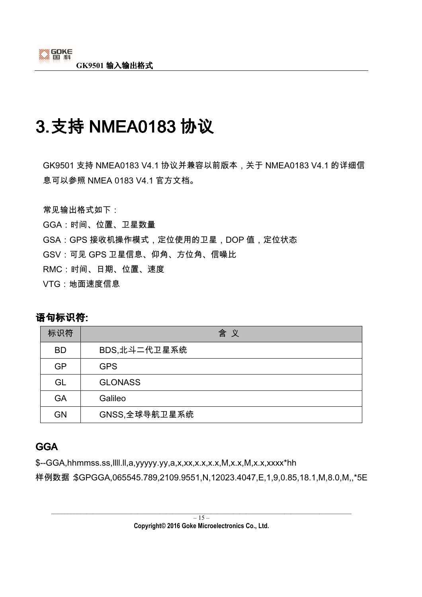# 3.支持 NMEA0183 协议

GK9501 支持 NMEA0183 V4.1 协议并兼容以前版本,关于 NMEA0183 V4.1 的详细信 息可以参照 NMEA 0183 V4.1 官方文档。

常见输出格式如下:

GGA:时间、位置、卫星数量

- GSA:GPS 接收机操作模式,定位使用的卫星,DOP 值,定位状态
- GSV:可见 GPS 卫星信息、仰角、方位角、信噪比
- RMC:时间、日期、位置、速度
- VTG:地面速度信息

### 语句标识符:

| 标识符       | 含义             |
|-----------|----------------|
| <b>BD</b> | BDS,北斗二代卫星系统   |
| <b>GP</b> | <b>GPS</b>     |
| GL        | <b>GLONASS</b> |
| <b>GA</b> | Galileo        |
| GN        | GNSS,全球导航卫星系统  |

## GGA

\$--GGA,hhmmss.ss,llll.ll,a,yyyyy.yy,a,x,xx,x.x,x.x,M,x.x,M,x.x,xxxx\*hh

样例数据:\$GPGGA,065545.789,2109.9551,N,12023.4047,E,1,9,0.85,18.1,M,8.0,M,,\*5E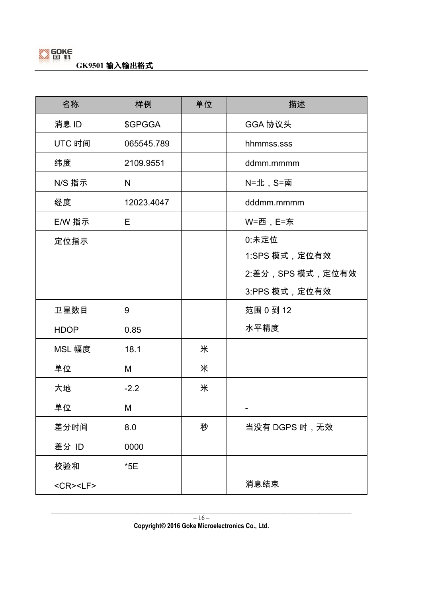

| 名称                                 | 样例         | 单位 | 描述               |
|------------------------------------|------------|----|------------------|
| 消息 ID                              | \$GPGGA    |    | GGA 协议头          |
| UTC 时间                             | 065545.789 |    | hhmmss.sss       |
| 纬度                                 | 2109.9551  |    | ddmm.mmmm        |
| N/S 指示                             | N          |    | N=北, S=南         |
| 经度                                 | 12023.4047 |    | dddmm.mmmm       |
| E/W 指示                             | E.         |    | W=西,E=东          |
| 定位指示                               |            |    | 0:未定位            |
|                                    |            |    | 1:SPS 模式, 定位有效   |
|                                    |            |    | 2:差分,SPS 模式,定位有效 |
|                                    |            |    | 3:PPS 模式,定位有效    |
| 卫星数目                               | 9          |    | 范围 0 到 12        |
| <b>HDOP</b>                        | 0.85       |    | 水平精度             |
| MSL 幅度                             | 18.1       | 米  |                  |
| 单位                                 | M          | 米  |                  |
| 大地                                 | $-2.2$     | 米  |                  |
| 单位                                 | M          |    |                  |
| 差分时间                               | 8.0        | 秒  | 当没有 DGPS 时,无效    |
| 差分 ID                              | 0000       |    |                  |
| 校验和                                | $*5E$      |    |                  |
| $<$ CR $>$ <lf<math>&gt;</lf<math> |            |    | 消息结束             |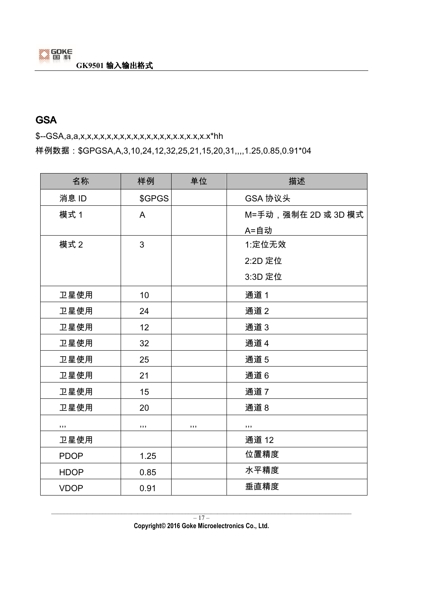## **GSA**

\$--GSA,a,a,x,x,x,x,x,x,x,x,x,x,x,x,x,x,x.x,x.x,x.x\*hh

样例数据: \$GPGSA,A,3,10,24,12,32,25,21,15,20,31,,,,1.25,0.85,0.91\*04

| 名称          | 样例     | 单位  | 描述                  |
|-------------|--------|-----|---------------------|
| 消息 ID       | \$GPGS |     | GSA 协议头             |
| 模式 1        | A      |     | M=手动,强制在 2D 或 3D 模式 |
|             |        |     | A=自动                |
| 模式 2        | 3      |     | 1:定位无效              |
|             |        |     | 2:2D 定位             |
|             |        |     | 3:3D 定位             |
| 卫星使用        | 10     |     | 通道1                 |
| 卫星使用        | 24     |     | 通道 2                |
| 卫星使用        | 12     |     | 通道3                 |
| 卫星使用        | 32     |     | 通道 4                |
| 卫星使用        | 25     |     | 通道5                 |
| 卫星使用        | 21     |     | 通道6                 |
| 卫星使用        | 15     |     | 通道7                 |
| 卫星使用        | 20     |     | 通道8                 |
| , , ,       | , 1, 1 | ,,, | , , ,               |
| 卫星使用        |        |     | 通道 12               |
| <b>PDOP</b> | 1.25   |     | 位置精度                |
| <b>HDOP</b> | 0.85   |     | 水平精度                |
| <b>VDOP</b> | 0.91   |     | 垂直精度                |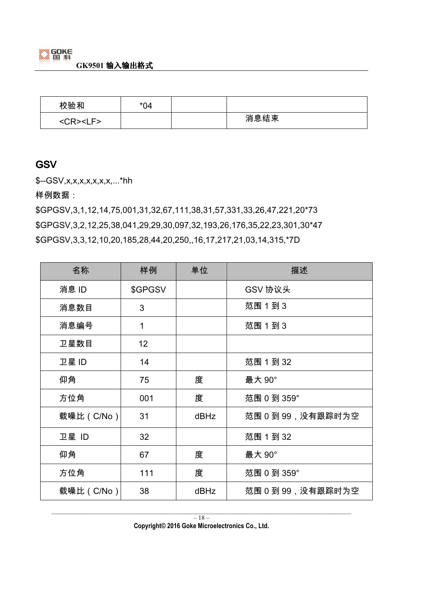

| 校验和                   | $*04$ |      |
|-----------------------|-------|------|
| $<$ CR $>$ $<$ LF $>$ |       | 消息结束 |

### **GSV**

\$--GSV,x,x,x,x,x,x,x,...\*hh

样例数据:

\$GPGSV,3,1,12,14,75,001,31,32,67,111,38,31,57,331,33,26,47,221,20\*73 \$GPGSV,3,2,12,25,38,041,29,29,30,097,32,193,26,176,35,22,23,301,30\*47 \$GPGSV,3,3,12,10,20,185,28,44,20,250,,16,17,217,21,03,14,315,\*7D

| 名称         | 样例              | 单位   | 描述                |
|------------|-----------------|------|-------------------|
| 消息 ID      | \$GPGSV         |      | GSV 协议头           |
| 消息数目       | 3               |      | 范围 1 到 3          |
| 消息编号       | 1               |      | 范围 1 到 3          |
| 卫星数目       | 12 <sub>2</sub> |      |                   |
| 卫星 ID      | 14              |      | 范围 1 到 32         |
| 仰角         | 75              | 度    | 最大 90°            |
| 方位角        | 001             | 度    | 范围 0 到 359°       |
| 载噪比 (C/No) | 31              | dBHz | 范围 0 到 99,没有跟踪时为空 |
| 卫星 ID      | 32              |      | 范围 1 到 32         |
| 仰角         | 67              | 度    | 最大 90°            |
| 方位角        | 111             | 度    | 范围 0 到 359°       |
| 载噪比(C/No)  | 38              | dBHz | 范围 0 到 99,没有跟踪时为空 |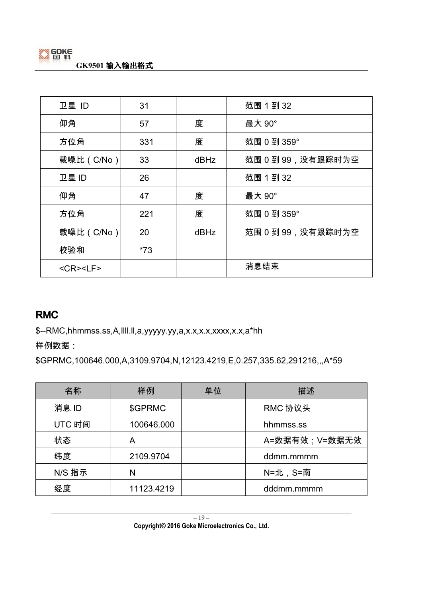

| 卫星 ID              | 31    |      | 范围 1 到 32          |
|--------------------|-------|------|--------------------|
| 仰角                 | 57    | 度    | 最大 90°             |
| 方位角                | 331   | 度    | 范围 0 到 359°        |
| 载噪比 (C/No)         | 33    | dBHz | 范围 0 到 99, 没有跟踪时为空 |
| 卫星 ID              | 26    |      | 范围 1 到 32          |
| 仰角                 | 47    | 度    | 最大 90°             |
| 方位角                | 221   | 度    | 范围 0 到 359°        |
| 载噪比 (C/No)         | 20    | dBHz | 范围 0 到 99, 没有跟踪时为空 |
| 校验和                | $*73$ |      |                    |
| <cr><lf></lf></cr> |       |      | 消息结束               |

### RMC

\$--RMC,hhmmss.ss,A,llll.ll,a,yyyyy.yy,a,x.x,x.x,xxxx,x.x,a\*hh

样例数据:

\$GPRMC,100646.000,A,3109.9704,N,12123.4219,E,0.257,335.62,291216,,,A\*59

| 名称     | 样例         | 单位 | 描述            |
|--------|------------|----|---------------|
| 消息 ID  | \$GPRMC    |    | RMC 协议头       |
| UTC 时间 | 100646.000 |    | hhmmss.ss     |
| 状态     | Α          |    | A=数据有效;V=数据无效 |
| 纬度     | 2109.9704  |    | ddmm.mmmm     |
| N/S 指示 | N          |    | N=北, S=南      |
| 经度     | 11123.4219 |    | dddmm.mmmm    |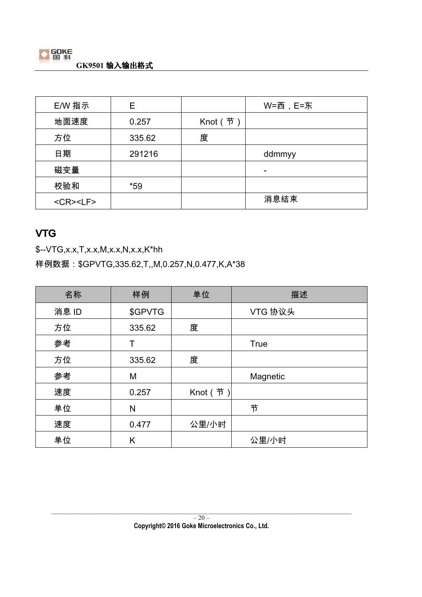

| E/W 指示             | Е      |         | W=西, E=东 |
|--------------------|--------|---------|----------|
| 地面速度               | 0.257  | Knot (节 |          |
| 方位                 | 335.62 | 度       |          |
| 日期                 | 291216 |         | ddmmyy   |
| 磁变量                |        |         | ۰        |
| 校验和                | $*59$  |         |          |
| <cr><lf></lf></cr> |        |         | 消息结束     |

### VTG

\$--VTG,x.x,T,x.x,M,x.x,N,x.x,K\*hh

样例数据: \$GPVTG,335.62,T,,M,0.257,N,0.477,K,A\*38

| 名称    | 样例      | 单位      | 描述          |
|-------|---------|---------|-------------|
| 消息 ID | \$GPVTG |         | VTG 协议头     |
| 方位    | 335.62  | 度       |             |
| 参考    | т       |         | <b>True</b> |
| 方位    | 335.62  | 度       |             |
| 参考    | M       |         | Magnetic    |
| 速度    | 0.257   | Knot (节 |             |
| 单位    | N       |         | 节           |
| 速度    | 0.477   | 公里/小时   |             |
| 单位    | Κ       |         | 公里/小时       |